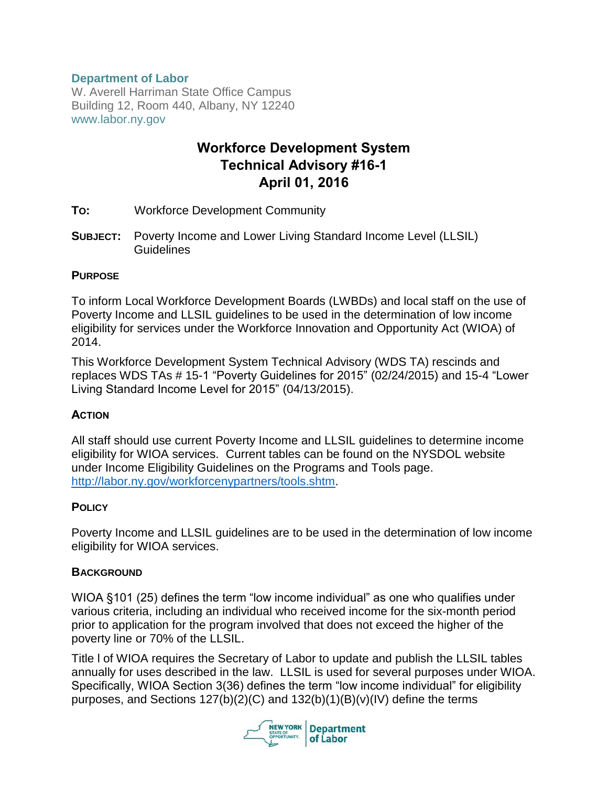# **Department of Labor**

W. Averell Harriman State Office Campus Building 12, Room 440, Albany, NY 12240 www.labor.ny.gov

# **Workforce Development System Technical Advisory #16-1 April 01, 2016**

- **TO:** Workforce Development Community
- **SUBJECT:** Poverty Income and Lower Living Standard Income Level (LLSIL) **Guidelines**

#### **PURPOSE**

To inform Local Workforce Development Boards (LWBDs) and local staff on the use of Poverty Income and LLSIL guidelines to be used in the determination of low income eligibility for services under the Workforce Innovation and Opportunity Act (WIOA) of 2014.

This Workforce Development System Technical Advisory (WDS TA) rescinds and replaces WDS TAs # 15-1 "Poverty Guidelines for 2015" (02/24/2015) and 15-4 "Lower Living Standard Income Level for 2015" (04/13/2015).

### **ACTION**

All staff should use current Poverty Income and LLSIL guidelines to determine income eligibility for WIOA services. Current tables can be found on the NYSDOL website under Income Eligibility Guidelines on the Programs and Tools page. [http://labor.ny.gov/workforcenypartners/tools.shtm.](http://labor.ny.gov/workforcenypartners/tools.shtm)

### **POLICY**

Poverty Income and LLSIL guidelines are to be used in the determination of low income eligibility for WIOA services.

### **BACKGROUND**

WIOA §101 (25) defines the term "low income individual" as one who qualifies under various criteria, including an individual who received income for the six-month period prior to application for the program involved that does not exceed the higher of the poverty line or 70% of the LLSIL.

Title l of WIOA requires the Secretary of Labor to update and publish the LLSIL tables annually for uses described in the law. LLSIL is used for several purposes under WIOA. Specifically, WIOA Section 3(36) defines the term "low income individual" for eligibility purposes, and Sections 127(b)(2)(C) and 132(b)(1)(B)(v)(IV) define the terms